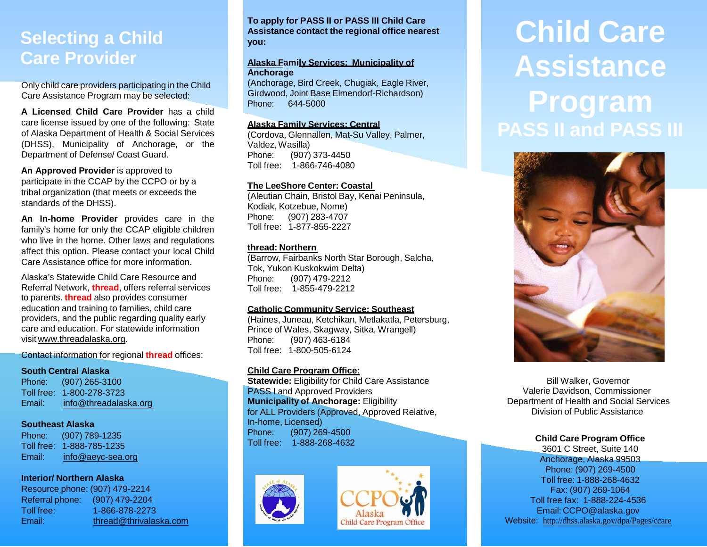### **Selecting a Child Care Provider**

Only child care providers participating in the Child Care Assistance Program may be selected:

**A Licensed Child Care Provider** has a child care license issued by one of the following: State of Alaska Department of Health & Social Services (DHSS), Municipality of Anchorage, or the Department of Defense/ Coast Guard.

**An Approved Provider** is approved to participate in the CCAP by the CCPO or by a tribal organization (that meets or exceeds the standards of the DHSS).

**An In-home Provider** provides care in the family's home for only the CCAP eligible children who live in the home. Other laws and regulations affect this option. Please contact your local Child Care Assistance office for more information.

Alaska's Statewide Child Care Resource and Referral Network, **thread**, offers referral services to parents. **thread** also provides consumer education and training to families, child care providers, and the public regarding quality early care and education. For statewide information visit [www.threadalaska.org.](http://www.threadalaska.org/)

Contact information for regional **thread** offices:

#### **South Central Alaska**

Phone: (907) 265-3100 Toll free: 1-800-278-3723 Email: [info@threadalaska.org](mailto:info@threadalasak.org)

#### **Southeast Alaska**

Phone: (907) 789-1235 Toll free: 1-888-785-1235 Email: [info@aeyc-sea.org](mailto:info@aeyc-sea.org)

#### **Interior/ Northern Alaska**

Resource phone: (907) 479-2214 Referral phone: (907) 479-2204 Toll free: 1-866-878-2273 Email: [thread@thrivalaska.com](mailto:thread@thrivalaska.com) **To apply for PASS II or PASS III Child Care Assistance contact the regional office nearest you:**

#### **Alaska Family Services: Municipality of Anchorage**

(Anchorage, Bird Creek, Chugiak, Eagle River, Girdwood, Joint Base Elmendorf-Richardson) Phone: 644-5000

#### **Alaska Family Services: Central**

(Cordova, Glennallen, Mat-Su Valley, Palmer, Valdez, Wasilla) Phone: (907) 373-4450 Toll free: 1-866-746-4080

#### **The LeeShore Center: Coastal**

(Aleutian Chain, Bristol Bay, Kenai Peninsula, Kodiak, Kotzebue, Nome) Phone: (907) 283-4707 Toll free: 1-877-855-2227

#### **thread: Northern**

(Barrow, Fairbanks North Star Borough, Salcha, Tok, Yukon Kuskokwim Delta) Phone: (907) 479-2212 Toll free: 1-855-479-2212

#### **Catholic Community Service: Southeast**

(Haines, Juneau, Ketchikan, Metlakatla, Petersburg, Prince of Wales, Skagway, Sitka, Wrangell) Phone: (907) 463-6184 Toll free: 1-800-505-6124

#### **Child Care Program Office:**

**Statewide: Eligibility for Child Care Assistance** PASS I and Approved Providers **Municipality of Anchorage:** Eligibility for ALL Providers (Approved, Approved Relative, In-home, Licensed)<br>Phone: (907) 26 Phone: (907) 269-4500 Toll free: 1-888-268-4632





# **Child Care Assistance Program PASS II and PASS III**



 Bill Walker, Governor Valerie Davidson, Commissioner Department of Health and Social Services Division of Public Assistance

#### **Child Care Program Office**

3601 C Street, Suite 140 Anchorage, Alaska 99503 Phone: (907) 269-4500 Toll free: 1-888-268-4632 Fax: (907) 269-1064 Toll free fax: 1-888-224-4536 Email: [CCPO@alaska.gov](mailto:CCPO@alaska.gov) Website: [http://dhss.alaska.gov/dpa/Pages/ccare](http://dhss.alaska.gov/dpa/Pages/ccare/default.aspx)